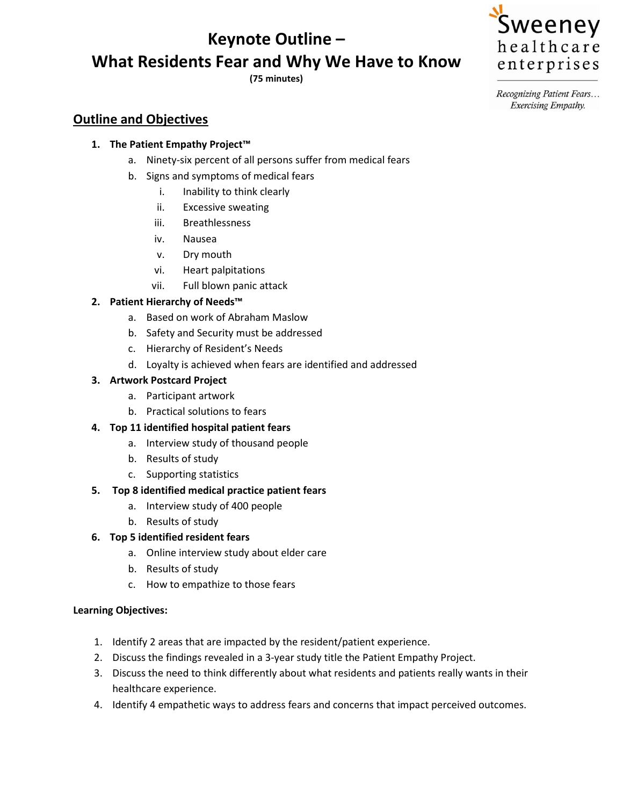# **Keynote Outline – What Residents Fear and Why We Have to Know**

**(75 minutes)** 



Recognizing Patient Fears... Exercising Empathy.

# **Outline and Objectives**

### **1. The Patient Empathy Project™**

- a. Ninety-six percent of all persons suffer from medical fears
- b. Signs and symptoms of medical fears
	- i. Inability to think clearly
	- ii. Excessive sweating
	- iii. Breathlessness
	- iv. Nausea
	- v. Dry mouth
	- vi. Heart palpitations
	- vii. Full blown panic attack

### **2. Patient Hierarchy of Needs™**

- a. Based on work of Abraham Maslow
- b. Safety and Security must be addressed
- c. Hierarchy of Resident's Needs
- d. Loyalty is achieved when fears are identified and addressed

#### **3. Artwork Postcard Project**

- a. Participant artwork
- b. Practical solutions to fears

#### **4. Top 11 identified hospital patient fears**

- a. Interview study of thousand people
- b. Results of study
- c. Supporting statistics

#### **5. Top 8 identified medical practice patient fears**

- a. Interview study of 400 people
- b. Results of study

#### **6. Top 5 identified resident fears**

- a. Online interview study about elder care
- b. Results of study
- c. How to empathize to those fears

#### **Learning Objectives:**

- 1. Identify 2 areas that are impacted by the resident/patient experience.
- 2. Discuss the findings revealed in a 3-year study title the Patient Empathy Project.
- 3. Discuss the need to think differently about what residents and patients really wants in their healthcare experience.
- 4. Identify 4 empathetic ways to address fears and concerns that impact perceived outcomes.